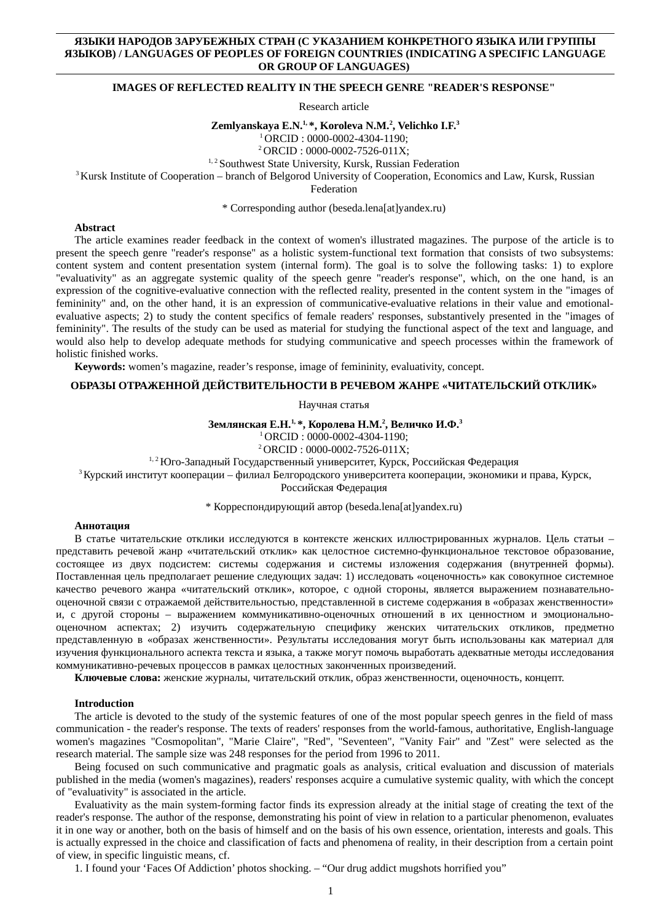# **ЯЗЫКИ НАРОДОВ ЗАРУБЕЖНЫХ СТРАН (С УКАЗАНИЕМ КОНКРЕТНОГО ЯЗЫКА ИЛИ ГРУППЫ ЯЗЫКОВ) / LANGUAGES OF PEOPLES OF FOREIGN COUNTRIES (INDICATING A SPECIFIC LANGUAGE OR GROUP OF LANGUAGES)**

# **IMAGES OF REFLECTED REALITY IN THE SPEECH GENRE "READER'S RESPONSE"**

Research article

**Zemlyanskaya E.N.1, \*, Koroleva N.M.<sup>2</sup> , Velichko I.F.<sup>3</sup>**

<sup>1</sup>ORCID : 0000-0002-4304-1190;

<sup>2</sup>ORCID : 0000-0002-7526-011X;

<sup>1, 2</sup> Southwest State University, Kursk, Russian Federation

<sup>3</sup> Kursk Institute of Cooperation – branch of Belgorod University of Cooperation, Economics and Law, Kursk, Russian

Federation

\* Corresponding author (beseda.lena[at]yandex.ru)

## **Abstract**

The article examines reader feedback in the context of women's illustrated magazines. The purpose of the article is to present the speech genre "reader's response" as a holistic system-functional text formation that consists of two subsystems: content system and content presentation system (internal form). The goal is to solve the following tasks: 1) to explore "evaluativity" as an aggregate systemic quality of the speech genre "reader's response", which, on the one hand, is an expression of the cognitive-evaluative connection with the reflected reality, presented in the content system in the "images of femininity" and, on the other hand, it is an expression of communicative-evaluative relations in their value and emotionalevaluative aspects; 2) to study the content specifics of female readers' responses, substantively presented in the "images of femininity". The results of the study can be used as material for studying the functional aspect of the text and language, and would also help to develop adequate methods for studying communicative and speech processes within the framework of holistic finished works.

**Keywords:** women's magazine, reader's response, image of femininity, evaluativity, concept.

# **ОБРАЗЫ ОТРАЖЕННОЙ ДЕЙСТВИТЕЛЬНОСТИ В РЕЧЕВОМ ЖАНРЕ «ЧИТАТЕЛЬСКИЙ ОТКЛИК»**

Научная статья

**Землянская Е.Н.1, \*, Королева Н.М.<sup>2</sup> , Величко И.Ф.<sup>3</sup>**

<sup>1</sup>ORCID : 0000-0002-4304-1190;

<sup>2</sup>ORCID : 0000-0002-7526-011X;

1, 2 Юго-Западный Государственный университет, Курск, Российская Федерация

 $3$ Курский институт кооперации – филиал Белгородского университета кооперации, экономики и права, Курск,

Российская Федерация

\* Корреспондирующий автор (beseda.lena[at]yandex.ru)

### **Аннотация**

В статье читательские отклики исследуются в контексте женских иллюстрированных журналов. Цель статьи – представить речевой жанр «читательский отклик» как целостное системно-функциональное текстовое образование, состоящее из двух подсистем: системы содержания и системы изложения содержания (внутренней формы). Поставленная цель предполагает решение следующих задач: 1) исследовать «оценочность» как совокупное системное качество речевого жанра «читательский отклик», которое, с одной стороны, является выражением познавательнооценочной связи с отражаемой действительностью, представленной в системе содержания в «образах женственности» и, с другой стороны – выражением коммуникативно-оценочных отношений в их ценностном и эмоциональнооценочном аспектах; 2) изучить содержательную специфику женских читательских откликов, предметно представленную в «образах женственности». Результаты исследования могут быть использованы как материал для изучения функционального аспекта текста и языка, а также могут помочь выработать адекватные методы исследования коммуникативно-речевых процессов в рамках целостных законченных произведений.

**Ключевые слова:** женские журналы, читательский отклик, образ женственности, оценочность, концепт.

### **Introduction**

The article is devoted to the study of the systemic features of one of the most popular speech genres in the field of mass communication - the reader's response. The texts of readers' responses from the world-famous, authoritative, English-language women's magazines "Cosmopolitan", "Marie Claire", "Red", "Seventeen", "Vanity Fair" and "Zest" were selected as the research material. The sample size was 248 responses for the period from 1996 to 2011.

Being focused on such communicative and pragmatic goals as analysis, critical evaluation and discussion of materials published in the media (women's magazines), readers' responses acquire a cumulative systemic quality, with which the concept of "evaluativity" is associated in the article.

Evaluativity as the main system-forming factor finds its expression already at the initial stage of creating the text of the reader's response. The author of the response, demonstrating his point of view in relation to a particular phenomenon, evaluates it in one way or another, both on the basis of himself and on the basis of his own essence, orientation, interests and goals. This is actually expressed in the choice and classification of facts and phenomena of reality, in their description from a certain point of view, in specific linguistic means, cf.

1. I found your 'Faces Of Addiction' photos shocking. – "Our drug addict mugshots horrified you"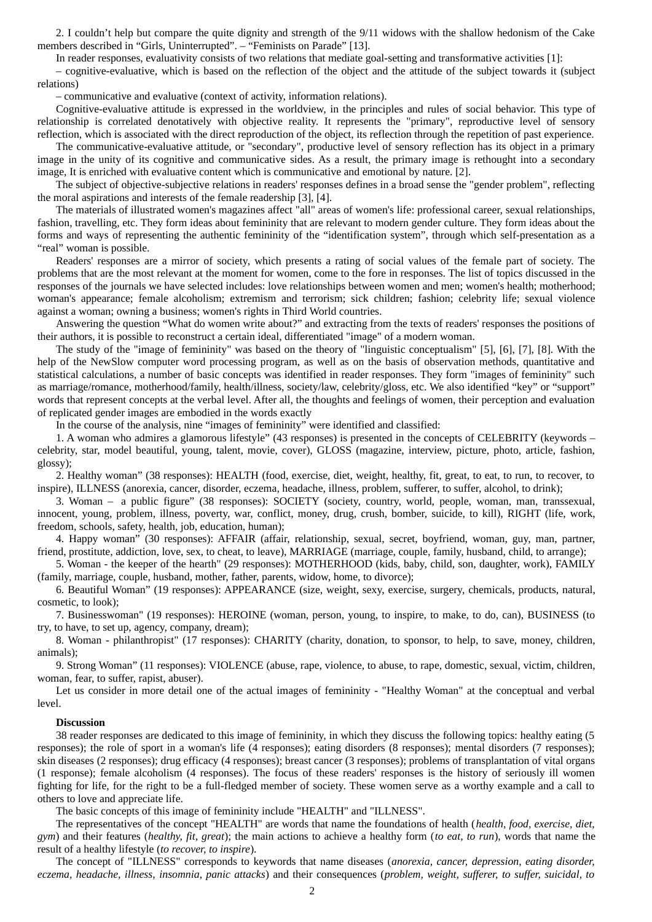2. I couldn't help but compare the quite dignity and strength of the 9/11 widows with the shallow hedonism of the Cake members described in "Girls, Uninterrupted". – "Feminists on Parade" [13].

In reader responses, evaluativity consists of two relations that mediate goal-setting and transformative activities [1]:

– cognitive-evaluative, which is based on the reflection of the object and the attitude of the subject towards it (subject relations)

– communicative and evaluative (context of activity, information relations).

Cognitive-evaluative attitude is expressed in the worldview, in the principles and rules of social behavior. This type of relationship is correlated denotatively with objective reality. It represents the "primary", reproductive level of sensory reflection, which is associated with the direct reproduction of the object, its reflection through the repetition of past experience.

The communicative-evaluative attitude, or "secondary", productive level of sensory reflection has its object in a primary image in the unity of its cognitive and communicative sides. As a result, the primary image is rethought into a secondary image, It is enriched with evaluative content which is communicative and emotional by nature. [2].

The subject of objective-subjective relations in readers' responses defines in a broad sense the "gender problem", reflecting the moral aspirations and interests of the female readership [3], [4].

The materials of illustrated women's magazines affect "all" areas of women's life: professional career, sexual relationships, fashion, travelling, etc. They form ideas about femininity that are relevant to modern gender culture. They form ideas about the forms and ways of representing the authentic femininity of the "identification system", through which self-presentation as a "real" woman is possible.

Readers' responses are a mirror of society, which presents a rating of social values of the female part of society. The problems that are the most relevant at the moment for women, come to the fore in responses. The list of topics discussed in the responses of the journals we have selected includes: love relationships between women and men; women's health; motherhood; woman's appearance; female alcoholism; extremism and terrorism; sick children; fashion; celebrity life; sexual violence against a woman; owning a business; women's rights in Third World countries.

Answering the question "What do women write about?" and extracting from the texts of readers' responses the positions of their authors, it is possible to reconstruct a certain ideal, differentiated "image" of a modern woman.

The study of the "image of femininity" was based on the theory of "linguistic conceptualism" [5], [6], [7], [8]. With the help of the NewSlow computer word processing program, as well as on the basis of observation methods, quantitative and statistical calculations, a number of basic concepts was identified in reader responses. They form "images of femininity" such as marriage/romance, motherhood/family, health/illness, society/law, celebrity/gloss, etc. We also identified "key" or "support" words that represent concepts at the verbal level. After all, the thoughts and feelings of women, their perception and evaluation of replicated gender images are embodied in the words exactly

In the course of the analysis, nine "images of femininity" were identified and classified:

1. A woman who admires a glamorous lifestyle" (43 responses) is presented in the concepts of CELEBRITY (keywords – celebrity, star, model beautiful, young, talent, movie, cover), GLOSS (magazine, interview, picture, photo, article, fashion, glossy);

2. Healthy woman" (38 responses): HEALTH (food, exercise, diet, weight, healthy, fit, great, to eat, to run, to recover, to inspire), ILLNESS (anorexia, cancer, disorder, eczema, headache, illness, problem, sufferer, to suffer, alcohol, to drink);

3. Woman – a public figure" (38 responses): SOCIETY (society, country, world, people, woman, man, transsexual, innocent, young, problem, illness, poverty, war, conflict, money, drug, crush, bomber, suicide, to kill), RIGHT (life, work, freedom, schools, safety, health, job, education, human);

4. Happy woman" (30 responses): AFFAIR (affair, relationship, sexual, secret, boyfriend, woman, guy, man, partner, friend, prostitute, addiction, love, sex, to cheat, to leave), MARRIAGE (marriage, couple, family, husband, child, to arrange);

5. Woman - the keeper of the hearth" (29 responses): MOTHERHOOD (kids, baby, child, son, daughter, work), FAMILY (family, marriage, couple, husband, mother, father, parents, widow, home, to divorce);

6. Beautiful Woman" (19 responses): APPEARANCE (size, weight, sexy, exercise, surgery, chemicals, products, natural, cosmetic, to look);

7. Businesswoman" (19 responses): HEROINE (woman, person, young, to inspire, to make, to do, can), BUSINESS (to try, to have, to set up, agency, company, dream);

8. Woman - philanthropist" (17 responses): CHARITY (charity, donation, to sponsor, to help, to save, money, children, animals);

9. Strong Woman" (11 responses): VIOLENCE (abuse, rape, violence, to abuse, to rape, domestic, sexual, victim, children, woman, fear, to suffer, rapist, abuser).

Let us consider in more detail one of the actual images of femininity - "Healthy Woman" at the conceptual and verbal level.

#### **Discussion**

38 reader responses are dedicated to this image of femininity, in which they discuss the following topics: healthy eating (5 responses); the role of sport in a woman's life (4 responses); eating disorders (8 responses); mental disorders (7 responses); skin diseases (2 responses); drug efficacy (4 responses); breast cancer (3 responses); problems of transplantation of vital organs (1 response); female alcoholism (4 responses). The focus of these readers' responses is the history of seriously ill women fighting for life, for the right to be a full-fledged member of society. These women serve as a worthy example and a call to others to love and appreciate life.

The basic concepts of this image of femininity include "HEALTH" and "ILLNESS".

The representatives of the concept "HEALTH" are words that name the foundations of health (*health, food, exercise, diet, gym*) and their features (*healthy, fit, great*); the main actions to achieve a healthy form (*to eat, to run*), words that name the result of a healthy lifestyle (*to recover, to inspire*).

The concept of "ILLNESS" corresponds to keywords that name diseases (*anorexia, cancer, depression, eating disorder, eczema, headache, illness, insomnia, panic attacks*) and their consequences (*problem, weight, sufferer, to suffer, suicidal, to*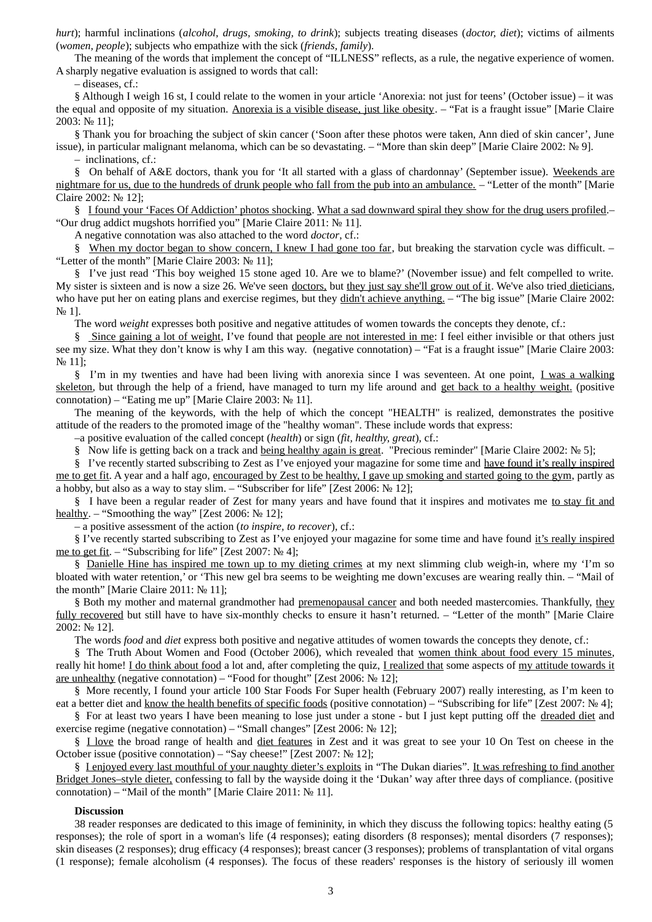*hurt*); harmful inclinations (*alcohol, drugs, smoking, to drink*); subjects treating diseases (*doctor, diet*); victims of ailments (*women, people*); subjects who empathize with the sick (*friends, family*).

The meaning of the words that implement the concept of "ILLNESS" reflects, as a rule, the negative experience of women. A sharply negative evaluation is assigned to words that call:

– diseases, cf.:

§ Although I weigh 16 st, I could relate to the women in your article 'Anorexia: not just for teens' (October issue) – it was the equal and opposite of my situation. Anorexia is a visible disease, just like obesity. – "Fat is a fraught issue" [Marie Claire 2003: № 11];

§ Thank you for broaching the subject of skin cancer ('Soon after these photos were taken, Ann died of skin cancer', June issue), in particular malignant melanoma, which can be so devastating. – "More than skin deep" [Marie Claire 2002: № 9].

– inclinations, cf.:

§ On behalf of A&E doctors, thank you for 'It all started with a glass of chardonnay' (September issue). Weekends are nightmare for us, due to the hundreds of drunk people who fall from the pub into an ambulance. – "Letter of the month" [Marie Claire 2002: № 12];

§ I found your 'Faces Of Addiction' photos shocking. What a sad downward spiral they show for the drug users profiled. "Our drug addict mugshots horrified you" [Marie Claire 2011: № 11].

A negative connotation was also attached to the word *doctor*, cf.:

§ When my doctor began to show concern, I knew I had gone too far, but breaking the starvation cycle was difficult. – "Letter of the month" [Marie Claire 2003: № 11];

§ I've just read 'This boy weighed 15 stone aged 10. Are we to blame?' (November issue) and felt compelled to write. My sister is sixteen and is now a size 26. We've seen doctors, but they just say she'll grow out of it. We've also tried dieticians, who have put her on eating plans and exercise regimes, but they didn't achieve anything. - "The big issue" [Marie Claire 2002: N<sub>2</sub> 1].

The word *weight* expresses both positive and negative attitudes of women towards the concepts they denote, cf.:

§ Since gaining a lot of weight, I've found that people are not interested in me: I feel either invisible or that others just see my size. What they don't know is why I am this way. (negative connotation) – "Fat is a fraught issue" [Marie Claire 2003: № 11];

§ I'm in my twenties and have had been living with anorexia since I was seventeen. At one point, I was a walking skeleton, but through the help of a friend, have managed to turn my life around and get back to a healthy weight. (positive connotation) – "Eating me up" [Marie Claire 2003: № 11].

The meaning of the keywords, with the help of which the concept "HEALTH" is realized, demonstrates the positive attitude of the readers to the promoted image of the "healthy woman". These include words that express:

–a positive evaluation of the called concept (*health*) or sign (*fit, healthy, great*), cf.:

§ Now life is getting back on a track and being healthy again is great. "Precious reminder" [Marie Claire 2002: № 5];

§ I've recently started subscribing to Zest as I've enjoyed your magazine for some time and have found it's really inspired me to get fit. A year and a half ago, encouraged by Zest to be healthy, I gave up smoking and started going to the gym, partly as a hobby, but also as a way to stay slim. – "Subscriber for life" [Zest 2006:  $N_2$  12]:

§ I have been a regular reader of Zest for many years and have found that it inspires and motivates me to stay fit and healthy. – "Smoothing the way" [Zest 2006: № 12];

– a positive assessment of the action (*to inspire, to recover*), cf.:

§ I've recently started subscribing to Zest as I've enjoyed your magazine for some time and have found it's really inspired me to get fit. – "Subscribing for life" [Zest 2007: № 4];

§ Danielle Hine has inspired me town up to my dieting crimes at my next slimming club weigh-in, where my 'I'm so bloated with water retention,' or 'This new gel bra seems to be weighting me down'excuses are wearing really thin. – "Mail of the month" [Marie Claire 2011: № 11];

§ Both my mother and maternal grandmother had premenopausal cancer and both needed mastercomies. Thankfully, they fully recovered but still have to have six-monthly checks to ensure it hasn't returned. – "Letter of the month" [Marie Claire 2002: № 12].

The words *food* and *diet* express both positive and negative attitudes of women towards the concepts they denote, cf.:

§ The Truth About Women and Food (October 2006), which revealed that women think about food every 15 minutes, really hit home! I do think about food a lot and, after completing the quiz, I realized that some aspects of my attitude towards it are unhealthy (negative connotation) – "Food for thought" [Zest 2006: № 12];

§ More recently, I found your article 100 Star Foods For Super health (February 2007) really interesting, as I'm keen to eat a better diet and know the health benefits of specific foods (positive connotation) – "Subscribing for life" [Zest 2007: № 4];

§ For at least two years I have been meaning to lose just under a stone - but I just kept putting off the dreaded diet and exercise regime (negative connotation) – "Small changes" [Zest 2006: № 12];

§ I love the broad range of health and diet features in Zest and it was great to see your 10 On Test on cheese in the October issue (positive connotation) – "Say cheese!" [Zest 2007: № 12];

§ I enjoyed every last mouthful of your naughty dieter's exploits in "The Dukan diaries". It was refreshing to find another Bridget Jones–style dieter, confessing to fall by the wayside doing it the 'Dukan' way after three days of compliance. (positive connotation) – "Mail of the month" [Marie Claire 2011: № 11].

# **Discussion**

38 reader responses are dedicated to this image of femininity, in which they discuss the following topics: healthy eating (5 responses); the role of sport in a woman's life (4 responses); eating disorders (8 responses); mental disorders (7 responses); skin diseases (2 responses); drug efficacy (4 responses); breast cancer (3 responses); problems of transplantation of vital organs (1 response); female alcoholism (4 responses). The focus of these readers' responses is the history of seriously ill women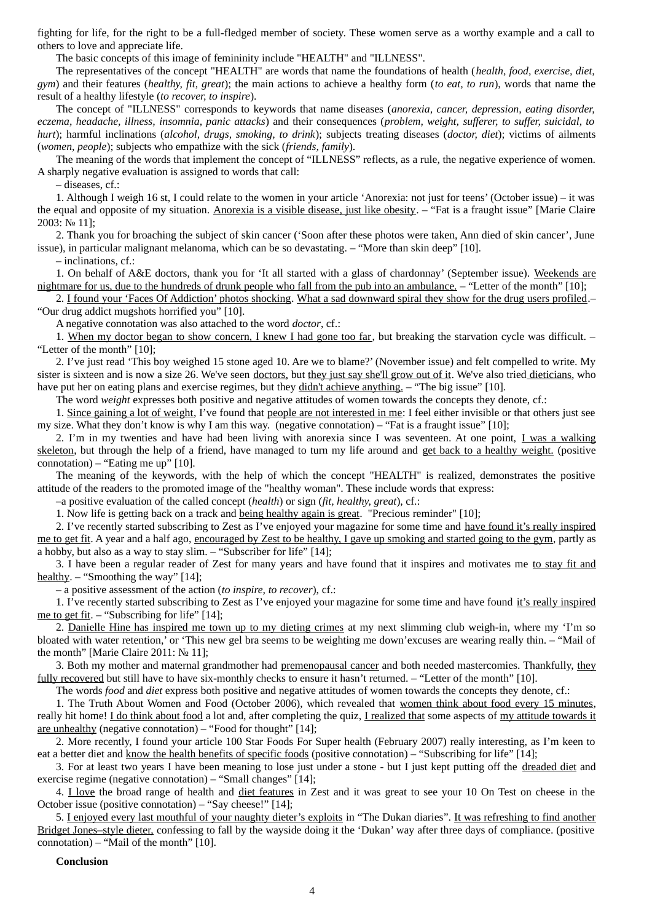fighting for life, for the right to be a full-fledged member of society. These women serve as a worthy example and a call to others to love and appreciate life.

The basic concepts of this image of femininity include "HEALTH" and "ILLNESS".

The representatives of the concept "HEALTH" are words that name the foundations of health (*health, food, exercise, diet, gym*) and their features (*healthy, fit, great*); the main actions to achieve a healthy form (*to eat, to run*), words that name the result of a healthy lifestyle (*to recover, to inspire*).

The concept of "ILLNESS" corresponds to keywords that name diseases (*anorexia, cancer, depression, eating disorder, eczema, headache, illness, insomnia, panic attacks*) and their consequences (*problem, weight, sufferer, to suffer, suicidal, to hurt*); harmful inclinations (*alcohol, drugs, smoking, to drink*); subjects treating diseases (*doctor, diet*); victims of ailments (*women, people*); subjects who empathize with the sick (*friends, family*).

The meaning of the words that implement the concept of "ILLNESS" reflects, as a rule, the negative experience of women. A sharply negative evaluation is assigned to words that call:

– diseases, cf.:

1. Although I weigh 16 st, I could relate to the women in your article 'Anorexia: not just for teens' (October issue) – it was the equal and opposite of my situation. Anorexia is a visible disease, just like obesity. – "Fat is a fraught issue" [Marie Claire 2003: № 11];

2. Thank you for broaching the subject of skin cancer ('Soon after these photos were taken, Ann died of skin cancer', June issue), in particular malignant melanoma, which can be so devastating. – "More than skin deep" [10].

– inclinations, cf.:

1. On behalf of A&E doctors, thank you for 'It all started with a glass of chardonnay' (September issue). Weekends are nightmare for us, due to the hundreds of drunk people who fall from the pub into an ambulance. – "Letter of the month" [10];

2. I found your 'Faces Of Addiction' photos shocking. What a sad downward spiral they show for the drug users profiled.-

"Our drug addict mugshots horrified you" [10].

A negative connotation was also attached to the word *doctor*, cf.:

1. When my doctor began to show concern, I knew I had gone too far, but breaking the starvation cycle was difficult. -"Letter of the month" [10];

2. I've just read 'This boy weighed 15 stone aged 10. Are we to blame?' (November issue) and felt compelled to write. My sister is sixteen and is now a size 26. We've seen doctors, but they just say she'll grow out of it. We've also tried dieticians, who have put her on eating plans and exercise regimes, but they didn't achieve anything. - "The big issue" [10].

The word *weight* expresses both positive and negative attitudes of women towards the concepts they denote, cf.:

1. Since gaining a lot of weight, I've found that people are not interested in me: I feel either invisible or that others just see my size. What they don't know is why I am this way. (negative connotation) – "Fat is a fraught issue" [10];

2. I'm in my twenties and have had been living with anorexia since I was seventeen. At one point, I was a walking skeleton, but through the help of a friend, have managed to turn my life around and get back to a healthy weight. (positive connotation) – "Eating me up"  $[10]$ .

The meaning of the keywords, with the help of which the concept "HEALTH" is realized, demonstrates the positive attitude of the readers to the promoted image of the "healthy woman". These include words that express:

–a positive evaluation of the called concept (*health*) or sign (*fit, healthy, great*), cf.:

1. Now life is getting back on a track and being healthy again is great. "Precious reminder" [10];

2. I've recently started subscribing to Zest as I've enjoyed your magazine for some time and have found it's really inspired me to get fit. A year and a half ago, encouraged by Zest to be healthy, I gave up smoking and started going to the gym, partly as a hobby, but also as a way to stay slim. – "Subscriber for life" [14];

3. I have been a regular reader of Zest for many years and have found that it inspires and motivates me to stay fit and healthy. – "Smoothing the way" [14];

– a positive assessment of the action (*to inspire, to recover*), cf.:

1. I've recently started subscribing to Zest as I've enjoyed your magazine for some time and have found it's really inspired me to get fit. – "Subscribing for life" [14];

2. Danielle Hine has inspired me town up to my dieting crimes at my next slimming club weigh-in, where my 'I'm so bloated with water retention,' or 'This new gel bra seems to be weighting me down'excuses are wearing really thin. – "Mail of the month" [Marie Claire 2011: № 11];

3. Both my mother and maternal grandmother had premenopausal cancer and both needed mastercomies. Thankfully, they fully recovered but still have to have six-monthly checks to ensure it hasn't returned. – "Letter of the month" [10].

The words *food* and *diet* express both positive and negative attitudes of women towards the concepts they denote, cf.:

1. The Truth About Women and Food (October 2006), which revealed that women think about food every 15 minutes, really hit home! I do think about food a lot and, after completing the quiz, I realized that some aspects of my attitude towards it are unhealthy (negative connotation) – "Food for thought" [14];

2. More recently, I found your article 100 Star Foods For Super health (February 2007) really interesting, as I'm keen to eat a better diet and know the health benefits of specific foods (positive connotation) – "Subscribing for life" [14];

3. For at least two years I have been meaning to lose just under a stone - but I just kept putting off the dreaded diet and exercise regime (negative connotation) – "Small changes" [14];

4. <u>I love</u> the broad range of health and diet features in Zest and it was great to see your 10 On Test on cheese in the October issue (positive connotation) – "Say cheese!" [14];

5. I enjoyed every last mouthful of your naughty dieter's exploits in "The Dukan diaries". It was refreshing to find another Bridget Jones-style dieter, confessing to fall by the wayside doing it the 'Dukan' way after three days of compliance. (positive connotation) – "Mail of the month" [10].

#### **Conclusion**